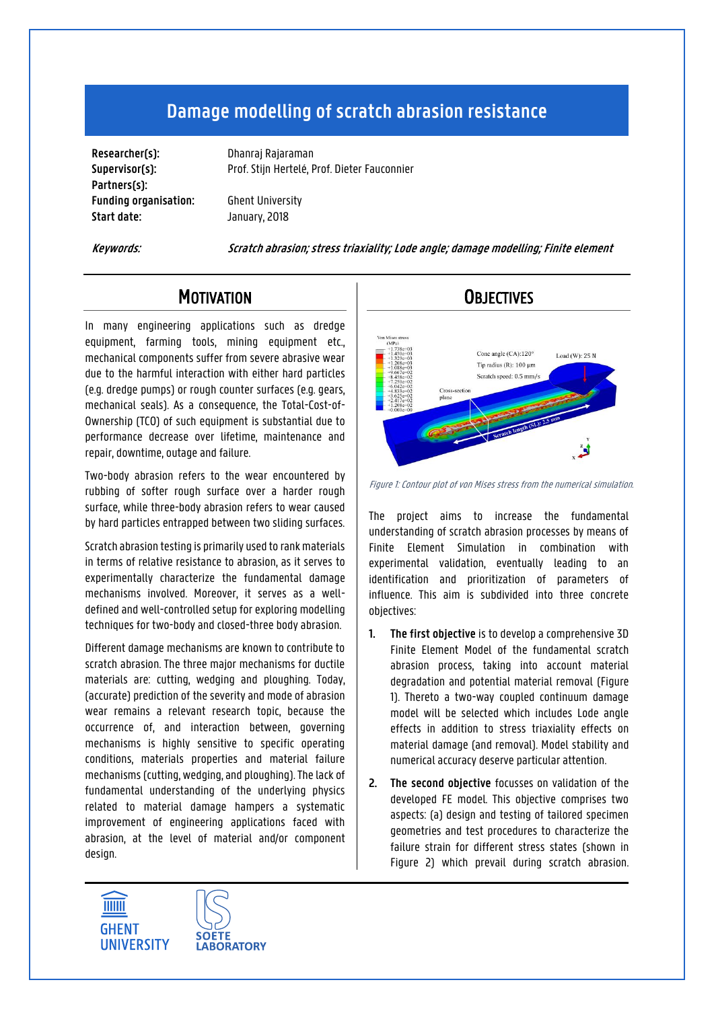# **Damage modelling of scratch abrasion resistance**

**Researcher(s):** Dhanraj Rajaraman **Partners(s): Funding organisation:** Ghent University **Start date:** January, 2018

**Supervisor(s):** Prof. Stijn Hertelé, Prof. Dieter Fauconnier

**Keywords: Scratch abrasion; stress triaxiality; Lode angle; damage modelling; Finite element**

### **MOTIVATION**

In many engineering applications such as dredge equipment, farming tools, mining equipment etc., mechanical components suffer from severe abrasive wear due to the harmful interaction with either hard particles (e.g. dredge pumps) or rough counter surfaces (e.g. gears, mechanical seals). As a consequence, the Total-Cost-of-Ownership (TCO) of such equipment is substantial due to performance decrease over lifetime, maintenance and repair, downtime, outage and failure.

Two-body abrasion refers to the wear encountered by rubbing of softer rough surface over a harder rough surface, while three-body abrasion refers to wear caused by hard particles entrapped between two sliding surfaces.

Scratch abrasion testing is primarily used to rank materials in terms of relative resistance to abrasion, as it serves to experimentally characterize the fundamental damage mechanisms involved. Moreover, it serves as a welldefined and well-controlled setup for exploring modelling techniques for two-body and closed-three body abrasion.

Different damage mechanisms are known to contribute to scratch abrasion. The three major mechanisms for ductile materials are: cutting, wedging and ploughing. Today, (accurate) prediction of the severity and mode of abrasion wear remains a relevant research topic, because the occurrence of, and interaction between, governing mechanisms is highly sensitive to specific operating conditions, materials properties and material failure mechanisms (cutting, wedging, and ploughing). The lack of fundamental understanding of the underlying physics related to material damage hampers a systematic improvement of engineering applications faced with abrasion, at the level of material and/or component design.

**SOFTE** 

**LABORATORY** 

**THE ME** 

**GHENT** 

**UNIVERSITY** 

## **OBJECTIVES**



Figure 1: Contour plot of von Mises stress from the numerical simulation.

The project aims to increase the fundamental understanding of scratch abrasion processes by means of Finite Element Simulation in combination with experimental validation, eventually leading to an identification and prioritization of parameters of influence. This aim is subdivided into three concrete objectives:

- **1. The first objective** is to develop a comprehensive 3D Finite Element Model of the fundamental scratch abrasion process, taking into account material degradation and potential material removal (Figure 1). Thereto a two-way coupled continuum damage model will be selected which includes Lode angle effects in addition to stress triaxiality effects on material damage (and removal). Model stability and numerical accuracy deserve particular attention.
- **2. The second objective** focusses on validation of the developed FE model. This objective comprises two aspects: (a) design and testing of tailored specimen geometries and test procedures to characterize the failure strain for different stress states (shown in [Figure 2\)](#page-1-0) which prevail during scratch abrasion.